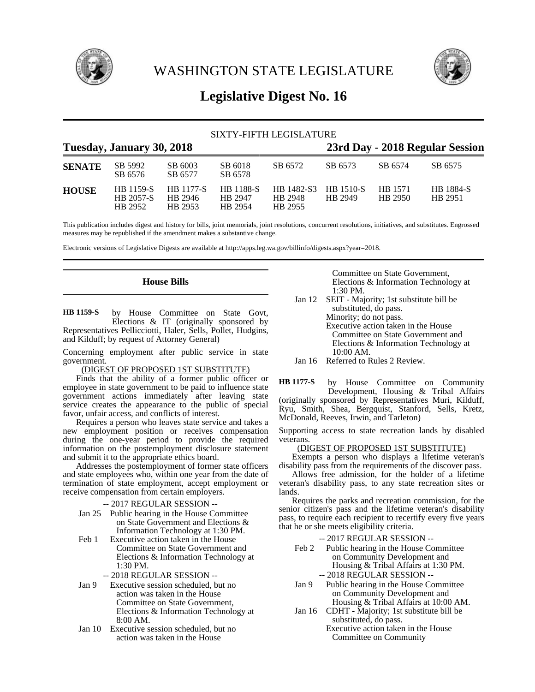

WASHINGTON STATE LEGISLATURE



# **Legislative Digest No. 16**

|               |                                   |                                        |                                        | SIXTY-FIFTH LEGISLATURE          |                             |                    |                             |
|---------------|-----------------------------------|----------------------------------------|----------------------------------------|----------------------------------|-----------------------------|--------------------|-----------------------------|
|               | Tuesday, January 30, 2018         |                                        | 23rd Day - 2018 Regular Session        |                                  |                             |                    |                             |
| <b>SENATE</b> | SB 5992<br>SB 6576                | SB 6003<br>SB 6577                     | SB 6018<br>SB 6578                     | SB 6572                          | SB 6573                     | SB 6574            | SB 6575                     |
| <b>HOUSE</b>  | HB 1159-S<br>HB 2057-S<br>HB 2952 | <b>HB</b> 1177-S<br>HB 2946<br>HB 2953 | <b>HB</b> 1188-S<br>HB 2947<br>HB 2954 | HB 1482-S3<br>HB 2948<br>HB 2955 | <b>HB</b> 1510-S<br>HR 2949 | HB 1571<br>HB 2950 | <b>HB</b> 1884-S<br>HB 2951 |

This publication includes digest and history for bills, joint memorials, joint resolutions, concurrent resolutions, initiatives, and substitutes. Engrossed measures may be republished if the amendment makes a substantive change.

Electronic versions of Legislative Digests are available at http://apps.leg.wa.gov/billinfo/digests.aspx?year=2018.

## **House Bills**

by House Committee on State Govt, Elections & IT (originally sponsored by Representatives Pellicciotti, Haler, Sells, Pollet, Hudgins, and Kilduff; by request of Attorney General) **HB 1159-S**

Concerning employment after public service in state government.

(DIGEST OF PROPOSED 1ST SUBSTITUTE)

Finds that the ability of a former public officer or employee in state government to be paid to influence state government actions immediately after leaving state service creates the appearance to the public of special favor, unfair access, and conflicts of interest.

Requires a person who leaves state service and takes a new employment position or receives compensation during the one-year period to provide the required information on the postemployment disclosure statement and submit it to the appropriate ethics board.

Addresses the postemployment of former state officers and state employees who, within one year from the date of termination of state employment, accept employment or receive compensation from certain employers.

-- 2017 REGULAR SESSION --

- Jan 25 Public hearing in the House Committee on State Government and Elections & Information Technology at 1:30 PM.
- Feb 1 Executive action taken in the House Committee on State Government and Elections & Information Technology at 1:30 PM.

-- 2018 REGULAR SESSION --

- Jan 9 Executive session scheduled, but no action was taken in the House Committee on State Government, Elections & Information Technology at 8:00 AM.
- Jan 10 Executive session scheduled, but no action was taken in the House

Committee on State Government, Elections & Information Technology at 1:30 PM.

- Jan 12 SEIT Majority; 1st substitute bill be substituted, do pass. Minority; do not pass. Executive action taken in the House Committee on State Government and Elections & Information Technology at 10:00 AM.
- Jan 16 Referred to Rules 2 Review.

by House Committee on Community Development, Housing & Tribal Affairs (originally sponsored by Representatives Muri, Kilduff, Ryu, Smith, Shea, Bergquist, Stanford, Sells, Kretz, McDonald, Reeves, Irwin, and Tarleton) **HB 1177-S**

Supporting access to state recreation lands by disabled veterans.

#### (DIGEST OF PROPOSED 1ST SUBSTITUTE)

Exempts a person who displays a lifetime veteran's disability pass from the requirements of the discover pass.

Allows free admission, for the holder of a lifetime veteran's disability pass, to any state recreation sites or lands.

Requires the parks and recreation commission, for the senior citizen's pass and the lifetime veteran's disability pass, to require each recipient to recertify every five years that he or she meets eligibility criteria.

-- 2017 REGULAR SESSION --

- Feb 2 Public hearing in the House Committee on Community Development and Housing & Tribal Affairs at 1:30 PM. -- 2018 REGULAR SESSION --
- Jan 9 Public hearing in the House Committee on Community Development and Housing & Tribal Affairs at 10:00 AM.
- Jan 16 CDHT Majority; 1st substitute bill be substituted, do pass.
	- Executive action taken in the House Committee on Community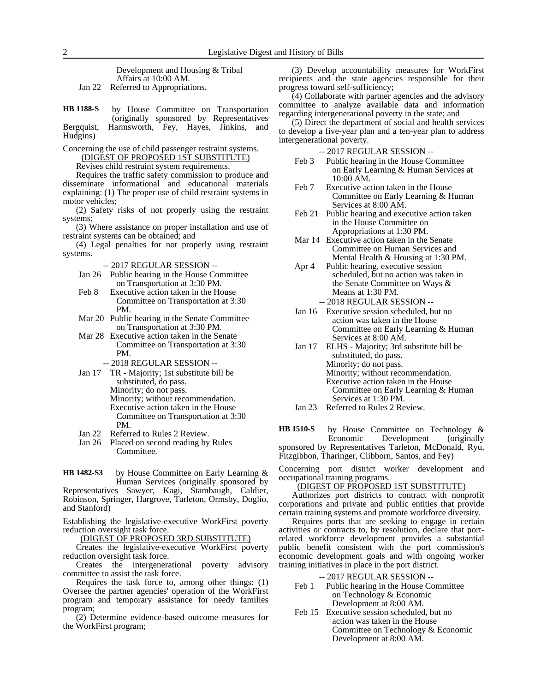Development and Housing & Tribal Affairs at 10:00 AM.

Jan 22 Referred to Appropriations.

by House Committee on Transportation (originally sponsored by Representatives Bergquist, Harmsworth, Fey, Hayes, Jinkins, and Hudgins) **HB 1188-S**

Concerning the use of child passenger restraint systems.

(DIGEST OF PROPOSED 1ST SUBSTITUTE)

Revises child restraint system requirements.

Requires the traffic safety commission to produce and disseminate informational and educational materials explaining: (1) The proper use of child restraint systems in motor vehicles;

(2) Safety risks of not properly using the restraint systems;

(3) Where assistance on proper installation and use of restraint systems can be obtained; and

(4) Legal penalties for not properly using restraint systems.

-- 2017 REGULAR SESSION --

- Jan 26 Public hearing in the House Committee on Transportation at 3:30 PM.
- Feb 8 Executive action taken in the House Committee on Transportation at 3:30 PM.

Mar 20 Public hearing in the Senate Committee on Transportation at 3:30 PM.

- Mar 28 Executive action taken in the Senate Committee on Transportation at 3:30 PM.
	- -- 2018 REGULAR SESSION --
- Jan 17 TR Majority; 1st substitute bill be substituted, do pass. Minority; do not pass.
	- Minority; without recommendation. Executive action taken in the House Committee on Transportation at 3:30 PM.
- Jan 22 Referred to Rules 2 Review.<br>Jan 26 Placed on second reading by
- Placed on second reading by Rules Committee.

by House Committee on Early Learning & Human Services (originally sponsored by Representatives Sawyer, Kagi, Stambaugh, Caldier, **HB 1482-S3**

Robinson, Springer, Hargrove, Tarleton, Ormsby, Doglio, and Stanford)

Establishing the legislative-executive WorkFirst poverty reduction oversight task force.

(DIGEST OF PROPOSED 3RD SUBSTITUTE)

Creates the legislative-executive WorkFirst poverty reduction oversight task force.

Creates the intergenerational poverty advisory committee to assist the task force.

Requires the task force to, among other things: (1) Oversee the partner agencies' operation of the WorkFirst program and temporary assistance for needy families program;

(2) Determine evidence-based outcome measures for the WorkFirst program;

(3) Develop accountability measures for WorkFirst recipients and the state agencies responsible for their progress toward self-sufficiency;

(4) Collaborate with partner agencies and the advisory committee to analyze available data and information regarding intergenerational poverty in the state; and

(5) Direct the department of social and health services to develop a five-year plan and a ten-year plan to address intergenerational poverty.

-- 2017 REGULAR SESSION --

- Feb 3 Public hearing in the House Committee on Early Learning & Human Services at 10:00 AM.
- Feb 7 Executive action taken in the House Committee on Early Learning & Human Services at 8:00 AM.
- Feb 21 Public hearing and executive action taken in the House Committee on Appropriations at 1:30 PM.
- Mar 14 Executive action taken in the Senate Committee on Human Services and Mental Health & Housing at 1:30 PM.
- Apr 4 Public hearing, executive session scheduled, but no action was taken in the Senate Committee on Ways & Means at 1:30 PM.
- -- 2018 REGULAR SESSION -- Jan 16 Executive session scheduled, but no action was taken in the House Committee on Early Learning & Human Services at 8:00 AM.
- Jan 17 ELHS Majority; 3rd substitute bill be substituted, do pass. Minority; do not pass. Minority; without recommendation. Executive action taken in the House Committee on Early Learning & Human Services at 1:30 PM.
- Jan 23 Referred to Rules 2 Review.

by House Committee on Technology & Economic Development (originally sponsored by Representatives Tarleton, McDonald, Ryu, Fitzgibbon, Tharinger, Clibborn, Santos, and Fey) **HB 1510-S**

Concerning port district worker development and occupational training programs.

#### (DIGEST OF PROPOSED 1ST SUBSTITUTE)

Authorizes port districts to contract with nonprofit corporations and private and public entities that provide certain training systems and promote workforce diversity.

Requires ports that are seeking to engage in certain activities or contracts to, by resolution, declare that portrelated workforce development provides a substantial public benefit consistent with the port commission's economic development goals and with ongoing worker training initiatives in place in the port district.

#### -- 2017 REGULAR SESSION --

- Feb 1 Public hearing in the House Committee on Technology & Economic Development at 8:00 AM.
- Feb 15 Executive session scheduled, but no action was taken in the House Committee on Technology & Economic Development at 8:00 AM.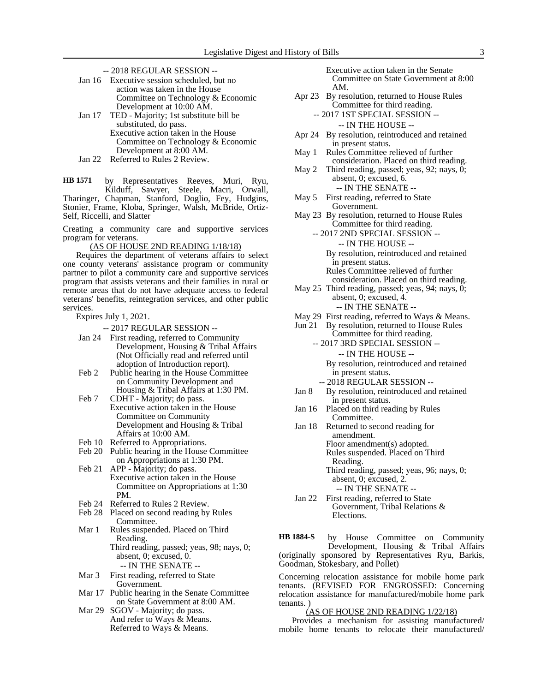-- 2018 REGULAR SESSION --

| Jan 16 Executive session scheduled, but no |
|--------------------------------------------|
| action was taken in the House              |
| Committee on Technology & Economic         |
| Development at 10:00 AM.                   |
|                                            |

- Jan 17 TED Majority; 1st substitute bill be substituted, do pass. Executive action taken in the House Committee on Technology & Economic Development at 8:00 AM.
- Jan 22 Referred to Rules 2 Review.

by Representatives Reeves, Muri, Ryu, Kilduff, Sawyer, Steele, Macri, Orwall, Tharinger, Chapman, Stanford, Doglio, Fey, Hudgins, Stonier, Frame, Kloba, Springer, Walsh, McBride, Ortiz-Self, Riccelli, and Slatter **HB 1571**

Creating a community care and supportive services program for veterans.

(AS OF HOUSE 2ND READING 1/18/18)

Requires the department of veterans affairs to select one county veterans' assistance program or community partner to pilot a community care and supportive services program that assists veterans and their families in rural or remote areas that do not have adequate access to federal veterans' benefits, reintegration services, and other public services.

Expires July 1, 2021.

-- 2017 REGULAR SESSION --

- Jan 24 First reading, referred to Community Development, Housing & Tribal Affairs (Not Officially read and referred until adoption of Introduction report).
- Feb 2 Public hearing in the House Committee on Community Development and Housing & Tribal Affairs at 1:30 PM.
- Feb 7 CDHT Majority; do pass. Executive action taken in the House Committee on Community Development and Housing & Tribal Affairs at 10:00 AM.
- Feb 10 Referred to Appropriations.
- Feb 20 Public hearing in the House Committee on Appropriations at 1:30 PM.
- Feb 21 APP Majority; do pass. Executive action taken in the House Committee on Appropriations at 1:30 PM.
- Feb 24 Referred to Rules 2 Review.
- Feb 28 Placed on second reading by Rules Committee.
- Mar 1 Rules suspended. Placed on Third Reading. Third reading, passed; yeas, 98; nays, 0; absent, 0; excused, 0. -- IN THE SENATE --
- Mar 3 First reading, referred to State Government.
- Mar 17 Public hearing in the Senate Committee on State Government at 8:00 AM.
- Mar 29 SGOV Majority; do pass. And refer to Ways & Means. Referred to Ways & Means.

Executive action taken in the Senate Committee on State Government at 8:00 AM.

Apr 23 By resolution, returned to House Rules Committee for third reading.

-- 2017 1ST SPECIAL SESSION -- -- IN THE HOUSE --

- Apr 24 By resolution, reintroduced and retained in present status.
- May 1 Rules Committee relieved of further consideration. Placed on third reading.
- May 2 Third reading, passed; yeas, 92; nays, 0; absent, 0; excused, 6.
- -- IN THE SENATE -- May 5 First reading, referred to State
- Government.
- May 23 By resolution, returned to House Rules Committee for third reading.
	- -- 2017 2ND SPECIAL SESSION --
		- -- IN THE HOUSE -- By resolution, reintroduced and retained in present status. Rules Committee relieved of further

consideration. Placed on third reading.

- May 25 Third reading, passed; yeas, 94; nays, 0; absent, 0; excused, 4. -- IN THE SENATE --
- May 29 First reading, referred to Ways & Means.
- Jun 21 By resolution, returned to House Rules
	- Committee for third reading. -- 2017 3RD SPECIAL SESSION --

-- IN THE HOUSE -- By resolution, reintroduced and retained

- in present status. -- 2018 REGULAR SESSION --
- Jan 8 By resolution, reintroduced and retained in present status.
- Jan 16 Placed on third reading by Rules Committee.
- Jan 18 Returned to second reading for amendment. Floor amendment(s) adopted. Rules suspended. Placed on Third Reading. Third reading, passed; yeas, 96; nays, 0;

absent, 0; excused, 2. -- IN THE SENATE --

Jan 22 First reading, referred to State Government, Tribal Relations & Elections.

by House Committee on Community Development, Housing & Tribal Affairs (originally sponsored by Representatives Ryu, Barkis, Goodman, Stokesbary, and Pollet) **HB 1884-S**

Concerning relocation assistance for mobile home park tenants. (REVISED FOR ENGROSSED: Concerning relocation assistance for manufactured/mobile home park tenants. )

### (AS OF HOUSE 2ND READING 1/22/18)

Provides a mechanism for assisting manufactured/ mobile home tenants to relocate their manufactured/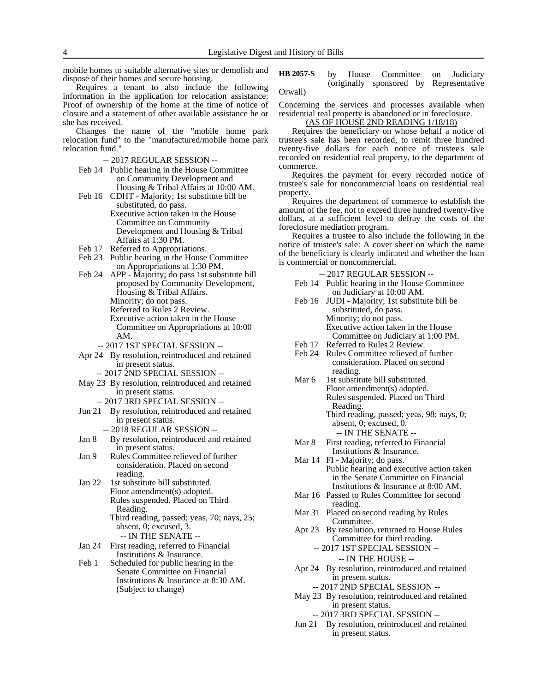mobile homes to suitable alternative sites or demolish and dispose of their homes and secure housing.

Requires a tenant to also include the following information in the application for relocation assistance: Proof of ownership of the home at the time of notice of closure and a statement of other available assistance he or she has received.

Changes the name of the "mobile home park relocation fund" to the "manufactured/mobile home park relocation fund."

-- 2017 REGULAR SESSION --

- Feb 14 Public hearing in the House Committee on Community Development and Housing & Tribal Affairs at 10:00 AM.
- Feb 16 CDHT Majority; 1st substitute bill be substituted, do pass. Executive action taken in the House Committee on Community Development and Housing & Tribal Affairs at 1:30 PM.
- Feb 17 Referred to Appropriations.
- Feb 23 Public hearing in the House Committee on Appropriations at 1:30 PM.
- Feb 24 APP Majority; do pass 1st substitute bill proposed by Community Development, Housing & Tribal Affairs. Minority; do not pass.
	- Referred to Rules 2 Review.

Executive action taken in the House Committee on Appropriations at 10:00 AM.

- -- 2017 1ST SPECIAL SESSION --
- Apr 24 By resolution, reintroduced and retained in present status.
	- -- 2017 2ND SPECIAL SESSION --
- May 23 By resolution, reintroduced and retained in present status.
	- -- 2017 3RD SPECIAL SESSION --
- Jun 21 By resolution, reintroduced and retained in present status.
	- -- 2018 REGULAR SESSION --
- Jan 8 By resolution, reintroduced and retained in present status.
- Jan 9 Rules Committee relieved of further consideration. Placed on second reading.
- Jan 22 1st substitute bill substituted. Floor amendment(s) adopted. Rules suspended. Placed on Third Reading.
	- Third reading, passed; yeas, 70; nays, 25; absent, 0; excused, 3. -- IN THE SENATE --
- Jan 24 First reading, referred to Financial Institutions & Insurance.
- Feb 1 Scheduled for public hearing in the Senate Committee on Financial Institutions & Insurance at 8:30 AM. (Subject to change)

by House Committee on Judiciary (originally sponsored by Representative Orwall) **HB 2057-S**

Concerning the services and processes available when residential real property is abandoned or in foreclosure.

(AS OF HOUSE 2ND READING 1/18/18)

Requires the beneficiary on whose behalf a notice of trustee's sale has been recorded, to remit three hundred twenty-five dollars for each notice of trustee's sale recorded on residential real property, to the department of commerce.

Requires the payment for every recorded notice of trustee's sale for noncommercial loans on residential real property.

Requires the department of commerce to establish the amount of the fee, not to exceed three hundred twenty-five dollars, at a sufficient level to defray the costs of the foreclosure mediation program.

Requires a trustee to also include the following in the notice of trustee's sale: A cover sheet on which the name of the beneficiary is clearly indicated and whether the loan is commercial or noncommercial.

-- 2017 REGULAR SESSION --

- Feb 14 Public hearing in the House Committee on Judiciary at 10:00 AM.
- Feb 16 JUDI Majority; 1st substitute bill be substituted, do pass. Minority; do not pass. Executive action taken in the House Committee on Judiciary at 1:00 PM.
- Feb 17 Referred to Rules 2 Review.
- Feb 24 Rules Committee relieved of further consideration. Placed on second reading.
- Mar 6 1st substitute bill substituted. Floor amendment(s) adopted. Rules suspended. Placed on Third Reading. Third reading, passed; yeas, 98; nays, 0;
	- absent, 0; excused, 0. -- IN THE SENATE --
- Mar 8 First reading, referred to Financial Institutions & Insurance.
- Mar 14 FI Majority; do pass. Public hearing and executive action taken in the Senate Committee on Financial Institutions & Insurance at 8:00 AM.
- Mar 16 Passed to Rules Committee for second reading.
- Mar 31 Placed on second reading by Rules Committee.
- Apr 23 By resolution, returned to House Rules Committee for third reading.
	- -- 2017 1ST SPECIAL SESSION -- -- IN THE HOUSE --
		-
- Apr 24 By resolution, reintroduced and retained in present status.

-- 2017 2ND SPECIAL SESSION --

- May 23 By resolution, reintroduced and retained in present status.
	- -- 2017 3RD SPECIAL SESSION --
- Jun 21 By resolution, reintroduced and retained in present status.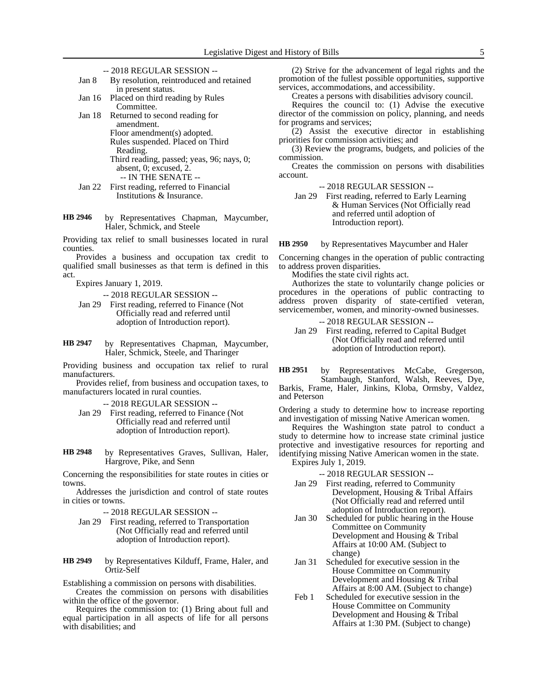- -- 2018 REGULAR SESSION --
- Jan 8 By resolution, reintroduced and retained in present status.
- Jan 16 Placed on third reading by Rules Committee.
- Jan 18 Returned to second reading for amendment. Floor amendment(s) adopted. Rules suspended. Placed on Third Reading.
	- Third reading, passed; yeas, 96; nays, 0; absent, 0; excused, 2.
		- -- IN THE SENATE --
- Jan 22 First reading, referred to Financial Institutions & Insurance.
- by Representatives Chapman, Maycumber, Haler, Schmick, and Steele **HB 2946**

Providing tax relief to small businesses located in rural counties.

Provides a business and occupation tax credit to qualified small businesses as that term is defined in this act.

Expires January 1, 2019.

-- 2018 REGULAR SESSION --

- Jan 29 First reading, referred to Finance (Not Officially read and referred until adoption of Introduction report).
- by Representatives Chapman, Maycumber, Haler, Schmick, Steele, and Tharinger **HB 2947**

Providing business and occupation tax relief to rural manufacturers.

Provides relief, from business and occupation taxes, to manufacturers located in rural counties.

-- 2018 REGULAR SESSION --

- Jan 29 First reading, referred to Finance (Not Officially read and referred until adoption of Introduction report).
- by Representatives Graves, Sullivan, Haler, Hargrove, Pike, and Senn **HB 2948**

Concerning the responsibilities for state routes in cities or towns.

Addresses the jurisdiction and control of state routes in cities or towns.

-- 2018 REGULAR SESSION --

Jan 29 First reading, referred to Transportation (Not Officially read and referred until adoption of Introduction report).

by Representatives Kilduff, Frame, Haler, and Ortiz-Self **HB 2949**

Establishing a commission on persons with disabilities.

Creates the commission on persons with disabilities within the office of the governor.

Requires the commission to: (1) Bring about full and equal participation in all aspects of life for all persons with disabilities; and

(2) Strive for the advancement of legal rights and the promotion of the fullest possible opportunities, supportive services, accommodations, and accessibility.

Creates a persons with disabilities advisory council.

Requires the council to: (1) Advise the executive director of the commission on policy, planning, and needs for programs and services;

 $(2)$  Assist the executive director in establishing priorities for commission activities; and

(3) Review the programs, budgets, and policies of the commission.

Creates the commission on persons with disabilities account.

-- 2018 REGULAR SESSION --

Jan 29 First reading, referred to Early Learning & Human Services (Not Officially read and referred until adoption of Introduction report).

by Representatives Maycumber and Haler **HB 2950**

Concerning changes in the operation of public contracting to address proven disparities.

Modifies the state civil rights act.

Authorizes the state to voluntarily change policies or procedures in the operations of public contracting to address proven disparity of state-certified veteran, servicemember, women, and minority-owned businesses.

-- 2018 REGULAR SESSION --

Jan 29 First reading, referred to Capital Budget (Not Officially read and referred until adoption of Introduction report).

by Representatives McCabe, Gregerson, Stambaugh, Stanford, Walsh, Reeves, Dye, Barkis, Frame, Haler, Jinkins, Kloba, Ormsby, Valdez, and Peterson **HB 2951**

Ordering a study to determine how to increase reporting and investigation of missing Native American women.

Requires the Washington state patrol to conduct a study to determine how to increase state criminal justice protective and investigative resources for reporting and identifying missing Native American women in the state. Expires July 1, 2019.

-- 2018 REGULAR SESSION --

- Jan 29 First reading, referred to Community Development, Housing & Tribal Affairs (Not Officially read and referred until adoption of Introduction report).
- Jan 30 Scheduled for public hearing in the House Committee on Community Development and Housing & Tribal Affairs at 10:00 AM. (Subject to change)
- Jan 31 Scheduled for executive session in the House Committee on Community Development and Housing & Tribal Affairs at 8:00 AM. (Subject to change)
- Feb 1 Scheduled for executive session in the House Committee on Community Development and Housing & Tribal Affairs at 1:30 PM. (Subject to change)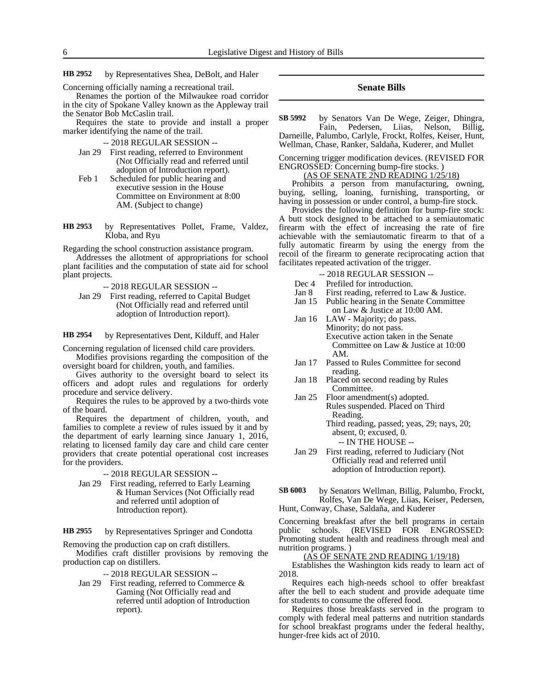by Representatives Shea, DeBolt, and Haler **HB 2952**

Concerning officially naming a recreational trail.

Renames the portion of the Milwaukee road corridor in the city of Spokane Valley known as the Appleway trail the Senator Bob McCaslin trail.

Requires the state to provide and install a proper marker identifying the name of the trail.

-- 2018 REGULAR SESSION --

- Jan 29 First reading, referred to Environment (Not Officially read and referred until adoption of Introduction report).
- Feb 1 Scheduled for public hearing and executive session in the House Committee on Environment at 8:00 AM. (Subject to change)
- by Representatives Pollet, Frame, Valdez, Kloba, and Ryu **HB 2953**

Regarding the school construction assistance program.

Addresses the allotment of appropriations for school plant facilities and the computation of state aid for school plant projects.

-- 2018 REGULAR SESSION --

Jan 29 First reading, referred to Capital Budget (Not Officially read and referred until adoption of Introduction report).

by Representatives Dent, Kilduff, and Haler **HB 2954**

Concerning regulation of licensed child care providers.

Modifies provisions regarding the composition of the oversight board for children, youth, and families.

Gives authority to the oversight board to select its officers and adopt rules and regulations for orderly procedure and service delivery.

Requires the rules to be approved by a two-thirds vote of the board.

Requires the department of children, youth, and families to complete a review of rules issued by it and by the department of early learning since January 1, 2016, relating to licensed family day care and child care center providers that create potential operational cost increases for the providers.

-- 2018 REGULAR SESSION --

Jan 29 First reading, referred to Early Learning & Human Services (Not Officially read and referred until adoption of Introduction report).

by Representatives Springer and Condotta **HB 2955**

Removing the production cap on craft distillers.

Modifies craft distiller provisions by removing the production cap on distillers.

-- 2018 REGULAR SESSION --

Jan 29 First reading, referred to Commerce & Gaming (Not Officially read and referred until adoption of Introduction report).

#### **Senate Bills**

by Senators Van De Wege, Zeiger, Dhingra, Fain, Pedersen, Liias, Nelson, Billig, Darneille, Palumbo, Carlyle, Frockt, Rolfes, Keiser, Hunt, **SB 5992**

Wellman, Chase, Ranker, Saldaña, Kuderer, and Mullet

Concerning trigger modification devices. (REVISED FOR ENGROSSED: Concerning bump-fire stocks. )

(AS OF SENATE 2ND READING 1/25/18)

Prohibits a person from manufacturing, owning, buying, selling, loaning, furnishing, transporting, or having in possession or under control, a bump-fire stock.

Provides the following definition for bump-fire stock: A butt stock designed to be attached to a semiautomatic firearm with the effect of increasing the rate of fire achievable with the semiautomatic firearm to that of a fully automatic firearm by using the energy from the recoil of the firearm to generate reciprocating action that facilitates repeated activation of the trigger.

-- 2018 REGULAR SESSION --

- Dec 4 Prefiled for introduction.
- Jan 8 First reading, referred to Law & Justice.
- Jan 15 Public hearing in the Senate Committee on Law & Justice at 10:00 AM.
- Jan 16 LAW Majority; do pass. Minority; do not pass. Executive action taken in the Senate Committee on Law & Justice at 10:00 AM.
- Jan 17 Passed to Rules Committee for second reading.
- Jan 18 Placed on second reading by Rules Committee.
- Jan 25 Floor amendment(s) adopted. Rules suspended. Placed on Third Reading.

Third reading, passed; yeas, 29; nays, 20; absent, 0; excused, 0. -- IN THE HOUSE --

Jan 29 First reading, referred to Judiciary (Not Officially read and referred until adoption of Introduction report).

by Senators Wellman, Billig, Palumbo, Frockt, Rolfes, Van De Wege, Liias, Keiser, Pedersen, Hunt, Conway, Chase, Saldaña, and Kuderer **SB 6003**

Concerning breakfast after the bell programs in certain public schools. (REVISED FOR ENGROSSED: Promoting student health and readiness through meal and nutrition programs. )

(AS OF SENATE 2ND READING 1/19/18)

Establishes the Washington kids ready to learn act of 2018.

Requires each high-needs school to offer breakfast after the bell to each student and provide adequate time for students to consume the offered food.

Requires those breakfasts served in the program to comply with federal meal patterns and nutrition standards for school breakfast programs under the federal healthy, hunger-free kids act of 2010.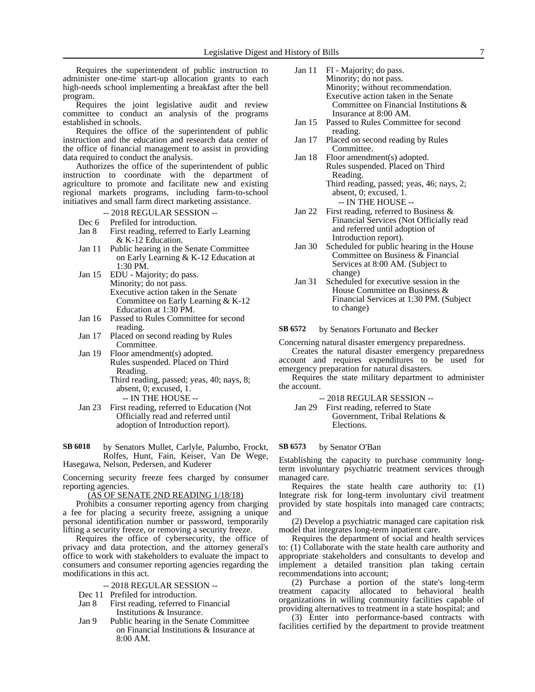Requires the superintendent of public instruction to administer one-time start-up allocation grants to each high-needs school implementing a breakfast after the bell program.

Requires the joint legislative audit and review committee to conduct an analysis of the programs established in schools.

Requires the office of the superintendent of public instruction and the education and research data center of the office of financial management to assist in providing data required to conduct the analysis.

Authorizes the office of the superintendent of public instruction to coordinate with the department of agriculture to promote and facilitate new and existing regional markets programs, including farm-to-school initiatives and small farm direct marketing assistance.

- -- 2018 REGULAR SESSION --
- 
- Dec 6 Prefiled for introduction.<br>Jan 8 First reading, referred to First reading, referred to Early Learning & K-12 Education.
- Jan 11 Public hearing in the Senate Committee on Early Learning & K-12 Education at 1:30 PM.
- Jan 15 EDU Majority; do pass. Minority; do not pass. Executive action taken in the Senate Committee on Early Learning & K-12 Education at 1:30 PM.
- Jan 16 Passed to Rules Committee for second reading.
- Jan 17 Placed on second reading by Rules Committee.
- Jan 19 Floor amendment(s) adopted. Rules suspended. Placed on Third Reading.
	- Third reading, passed; yeas, 40; nays, 8; absent, 0; excused, 1.
		- -- IN THE HOUSE --
- Jan 23 First reading, referred to Education (Not Officially read and referred until adoption of Introduction report).

by Senators Mullet, Carlyle, Palumbo, Frockt, Rolfes, Hunt, Fain, Keiser, Van De Wege, Hasegawa, Nelson, Pedersen, and Kuderer **SB 6018**

Concerning security freeze fees charged by consumer reporting agencies.

(AS OF SENATE 2ND READING 1/18/18)

Prohibits a consumer reporting agency from charging a fee for placing a security freeze, assigning a unique personal identification number or password, temporarily lifting a security freeze, or removing a security freeze.

Requires the office of cybersecurity, the office of privacy and data protection, and the attorney general's office to work with stakeholders to evaluate the impact to consumers and consumer reporting agencies regarding the modifications in this act.

- -- 2018 REGULAR SESSION --
- Dec 11 Prefiled for introduction.
- Jan 8 First reading, referred to Financial Institutions & Insurance.
- Jan 9 Public hearing in the Senate Committee on Financial Institutions & Insurance at 8:00 AM.
- Jan 11 FI Majority; do pass. Minority; do not pass. Minority; without recommendation. Executive action taken in the Senate Committee on Financial Institutions & Insurance at 8:00 AM.
- Jan 15 Passed to Rules Committee for second reading.
- Jan 17 Placed on second reading by Rules Committee.
- Jan 18 Floor amendment(s) adopted. Rules suspended. Placed on Third Reading. Third reading, passed; yeas, 46; nays, 2;

absent, 0; excused, 1. -- IN THE HOUSE --

- Jan 22 First reading, referred to Business & Financial Services (Not Officially read and referred until adoption of Introduction report).
- Jan 30 Scheduled for public hearing in the House Committee on Business & Financial Services at 8:00 AM. (Subject to change)
- Jan 31 Scheduled for executive session in the House Committee on Business & Financial Services at 1:30 PM. (Subject to change)

by Senators Fortunato and Becker **SB 6572**

Concerning natural disaster emergency preparedness.

Creates the natural disaster emergency preparedness account and requires expenditures to be used for emergency preparation for natural disasters.

Requires the state military department to administer the account.

-- 2018 REGULAR SESSION --

Jan 29 First reading, referred to State Government, Tribal Relations & Elections.

#### by Senator O'Ban **SB 6573**

Establishing the capacity to purchase community longterm involuntary psychiatric treatment services through managed care.

Requires the state health care authority to: (1) Integrate risk for long-term involuntary civil treatment provided by state hospitals into managed care contracts; and

(2) Develop a psychiatric managed care capitation risk model that integrates long-term inpatient care.

Requires the department of social and health services to: (1) Collaborate with the state health care authority and appropriate stakeholders and consultants to develop and implement a detailed transition plan taking certain recommendations into account;

(2) Purchase a portion of the state's long-term treatment capacity allocated to behavioral health organizations in willing community facilities capable of providing alternatives to treatment in a state hospital; and

(3) Enter into performance-based contracts with facilities certified by the department to provide treatment